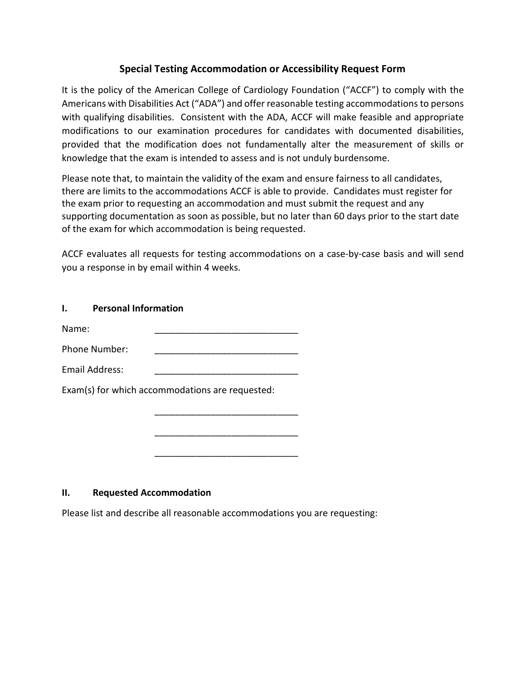# **[Special Testing Accommodation or Accessibility Request Form](https://ibhre.org/sites/default/files/2020-03/7.18.2017%20ADA%20Request%20form.pdf)**

It is the policy of the American College of Cardiology Foundation ("ACCF") to comply with the Americans with Disabilities Act ("ADA") and offer reasonable testing accommodations to persons with qualifying disabilities. Consistent with the ADA, ACCF will make feasible and appropriate modifications to our examination procedures for candidates with documented disabilities, provided that the modification does not fundamentally alter the measurement of skills or knowledge that the exam is intended to assess and is not unduly burdensome.

Please note that, to maintain the validity of the exam and ensure fairness to all candidates, there are limits to the accommodations ACCF is able to provide. Candidates must register for the exam prior to requesting an accommodation and must submit the request and any supporting documentation as soon as possible, but no later than 60 days prior to the start date of the exam for which accommodation is being requested.

ACCF evaluates all requests for testing accommodations on a case-by-case basis and will send you a response in by email within 4 weeks.

#### **I. Personal Information**

Name: \_\_\_\_\_\_\_\_\_\_\_\_\_\_\_\_\_\_\_\_\_\_\_\_\_\_\_\_

Phone Number:

| <b>Email Address:</b> |  |
|-----------------------|--|
|-----------------------|--|

Exam(s) for which accommodations are requested:

#### **II. Requested Accommodation**

Please list and describe all reasonable accommodations you are requesting:

\_\_\_\_\_\_\_\_\_\_\_\_\_\_\_\_\_\_\_\_\_\_\_\_\_\_\_\_

\_\_\_\_\_\_\_\_\_\_\_\_\_\_\_\_\_\_\_\_\_\_\_\_\_\_\_\_

\_\_\_\_\_\_\_\_\_\_\_\_\_\_\_\_\_\_\_\_\_\_\_\_\_\_\_\_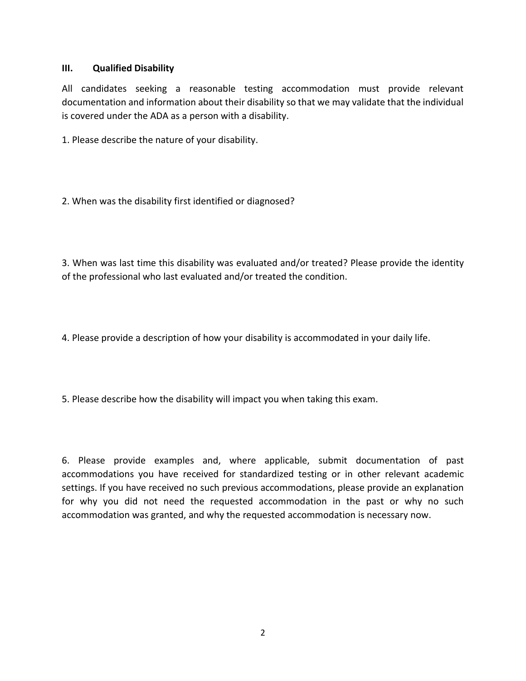#### **III. Qualified Disability**

All candidates seeking a reasonable testing accommodation must provide relevant documentation and information about their disability so that we may validate that the individual is covered under the ADA as a person with a disability.

1. Please describe the nature of your disability.

2. When was the disability first identified or diagnosed?

3. When was last time this disability was evaluated and/or treated? Please provide the identity of the professional who last evaluated and/or treated the condition.

4. Please provide a description of how your disability is accommodated in your daily life.

5. Please describe how the disability will impact you when taking this exam.

6. Please provide examples and, where applicable, submit documentation of past accommodations you have received for standardized testing or in other relevant academic settings. If you have received no such previous accommodations, please provide an explanation for why you did not need the requested accommodation in the past or why no such accommodation was granted, and why the requested accommodation is necessary now.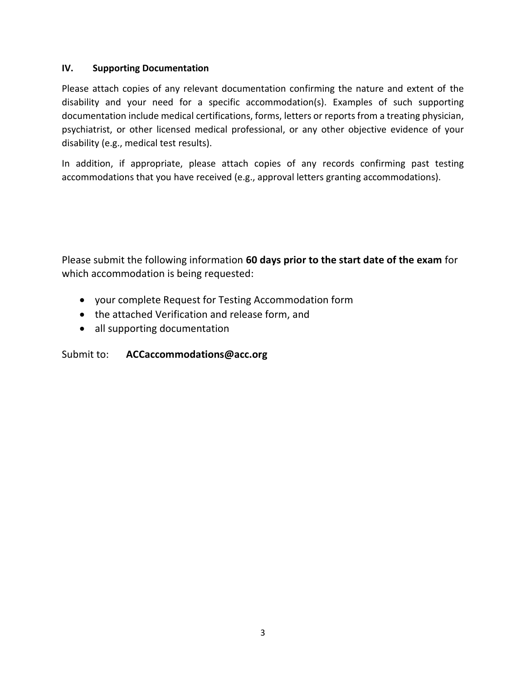# **IV. Supporting Documentation**

Please attach copies of any relevant documentation confirming the nature and extent of the disability and your need for a specific accommodation(s). Examples of such supporting documentation include medical certifications, forms, letters or reports from a treating physician, psychiatrist, or other licensed medical professional, or any other objective evidence of your disability (e.g., medical test results).

In addition, if appropriate, please attach copies of any records confirming past testing accommodations that you have received (e.g., approval letters granting accommodations).

Please submit the following information **60 days prior to the start date of the exam** for which accommodation is being requested:

- your complete Request for Testing Accommodation form
- the attached Verification and release form, and
- all supporting documentation

# Submit to: **ACCaccommodations@acc.org**